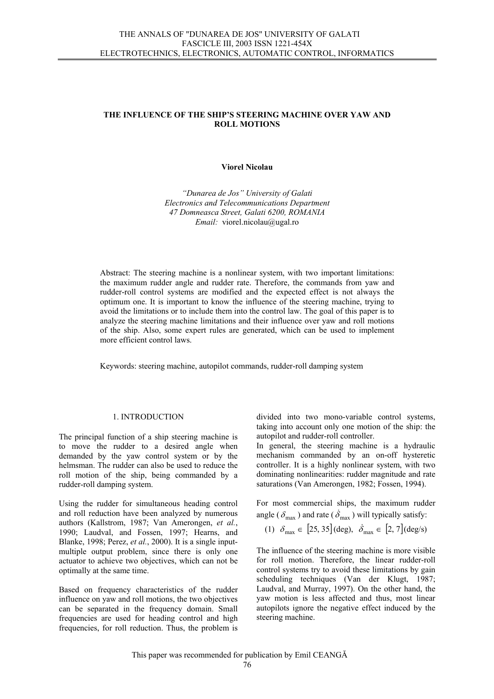# **THE INFLUENCE OF THE SHIP'S STEERING MACHINE OVER YAW AND ROLL MOTIONS**

#### **Viorel Nicolau**

*"Dunarea de Jos" University of Galati Electronics and Telecommunications Department 47 Domneasca Street, Galati 6200, ROMANIA Email:* [viorel.nicolau@ugal.ro](mailto:vionic@ac.ugal.ro)

Abstract: The steering machine is a nonlinear system, with two important limitations: the maximum rudder angle and rudder rate. Therefore, the commands from yaw and rudder-roll control systems are modified and the expected effect is not always the optimum one. It is important to know the influence of the steering machine, trying to avoid the limitations or to include them into the control law. The goal of this paper is to analyze the steering machine limitations and their influence over yaw and roll motions of the ship. Also, some expert rules are generated, which can be used to implement more efficient control laws.

Keywords: steering machine, autopilot commands, rudder-roll damping system

#### 1. INTRODUCTION

The principal function of a ship steering machine is to move the rudder to a desired angle when demanded by the yaw control system or by the helmsman. The rudder can also be used to reduce the roll motion of the ship, being commanded by a rudder-roll damping system.

Using the rudder for simultaneous heading control and roll reduction have been analyzed by numerous authors (Kallstrom, 1987; Van Amerongen, *et al.*, 1990; Laudval, and Fossen, 1997; Hearns, and Blanke, 1998; Perez, *et al.*, 2000). It is a single inputmultiple output problem, since there is only one actuator to achieve two objectives, which can not be optimally at the same time.

Based on frequency characteristics of the rudder influence on yaw and roll motions, the two objectives can be separated in the frequency domain. Small frequencies are used for heading control and high frequencies, for roll reduction. Thus, the problem is

divided into two mono-variable control systems, taking into account only one motion of the ship: the autopilot and rudder-roll controller.

In general, the steering machine is a hydraulic mechanism commanded by an on-off hysteretic controller. It is a highly nonlinear system, with two dominating nonlinearities: rudder magnitude and rate saturations (Van Amerongen, 1982; Fossen, 1994).

For most commercial ships, the maximum rudder angle ( $\delta_{\text{max}}$ ) and rate ( $\dot{\delta}_{\text{max}}$ ) will typically satisfy:

(1) 
$$
\delta_{\text{max}} \in [25, 35] (\text{deg}), \ \dot{\delta}_{\text{max}} \in [2, 7] (\text{deg/s})
$$

The influence of the steering machine is more visible for roll motion. Therefore, the linear rudder-roll control systems try to avoid these limitations by gain scheduling techniques (Van der Klugt, 1987; Laudval, and Murray, 1997). On the other hand, the yaw motion is less affected and thus, most linear autopilots ignore the negative effect induced by the steering machine.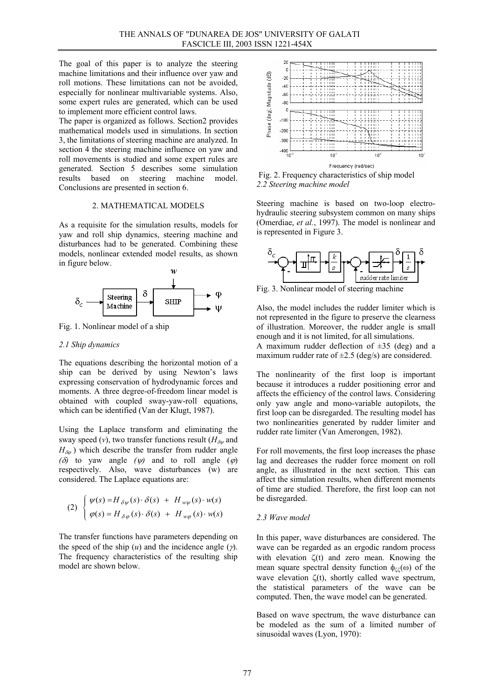The goal of this paper is to analyze the steering machine limitations and their influence over yaw and roll motions. These limitations can not be avoided, especially for nonlinear multivariable systems. Also, some expert rules are generated, which can be used to implement more efficient control laws.

The paper is organized as follows. Section2 provides mathematical models used in simulations. In section 3, the limitations of steering machine are analyzed. In section 4 the steering machine influence on yaw and roll movements is studied and some expert rules are generated. Section 5 describes some simulation results based on steering machine model. Conclusions are presented in section 6.

#### 2. MATHEMATICAL MODELS

As a requisite for the simulation results, models for yaw and roll ship dynamics, steering machine and disturbances had to be generated. Combining these models, nonlinear extended model results, as shown in figure below.



Fig. 1. Nonlinear model of a ship

## *2.1 Ship dynamics*

The equations describing the horizontal motion of a ship can be derived by using Newton's laws expressing conservation of hydrodynamic forces and moments. A three degree-of-freedom linear model is obtained with coupled sway-yaw-roll equations, which can be identified (Van der Klugt, 1987).

Using the Laplace transform and eliminating the sway speed (*v*), two transfer functions result ( $H_{\delta\psi}$  and  $H_{\delta\varphi}$ ) which describe the transfer from rudder angle *(δ)* to yaw angle *(ψ)* and to roll angle *(* $\varphi$ *)* respectively. Also, wave disturbances (w) are considered. The Laplace equations are:

(2) 
$$
\begin{cases} \psi(s) = H_{\delta\psi}(s) \cdot \delta(s) + H_{w\psi}(s) \cdot w(s) \\ \varphi(s) = H_{\delta\varphi}(s) \cdot \delta(s) + H_{w\varphi}(s) \cdot w(s) \end{cases}
$$

The transfer functions have parameters depending on the speed of the ship  $(u)$  and the incidence angle  $(\gamma)$ . The frequency characteristics of the resulting ship model are shown below.



 Fig. 2. Frequency characteristics of ship model *2.2 Steering machine model*

Steering machine is based on two-loop electrohydraulic steering subsystem common on many ships (Omerdiae, *et al.*, 1997). The model is nonlinear and is represented in Figure 3.



Fig. 3. Nonlinear model of steering machine

Also, the model includes the rudder limiter which is not represented in the figure to preserve the clearness of illustration. Moreover, the rudder angle is small enough and it is not limited, for all simulations. A maximum rudder deflection of  $\pm 35$  (deg) and a maximum rudder rate of  $\pm 2.5$  (deg/s) are considered.

The nonlinearity of the first loop is important because it introduces a rudder positioning error and affects the efficiency of the control laws. Considering only yaw angle and mono-variable autopilots, the first loop can be disregarded. The resulting model has two nonlinearities generated by rudder limiter and rudder rate limiter (Van Amerongen, 1982).

For roll movements, the first loop increases the phase lag and decreases the rudder force moment on roll angle, as illustrated in the next section. This can affect the simulation results, when different moments of time are studied. Therefore, the first loop can not be disregarded.

# *2.3 Wave model*

In this paper, wave disturbances are considered. The wave can be regarded as an ergodic random process with elevation  $\zeta(t)$  and zero mean. Knowing the mean square spectral density function  $\phi_{\zeta}(0)$  of the wave elevation ζ(t), shortly called wave spectrum, the statistical parameters of the wave can be computed. Then, the wave model can be generated.

Based on wave spectrum, the wave disturbance can be modeled as the sum of a limited number of sinusoidal waves (Lyon, 1970):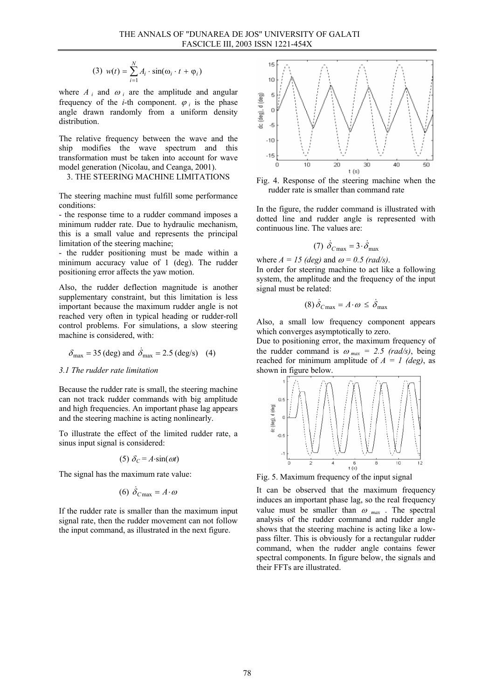(3) 
$$
w(t) = \sum_{i=1}^{N} A_i \cdot \sin(\omega_i \cdot t + \varphi_i)
$$

where  $A_i$  and  $\omega_i$  are the amplitude and angular frequency of the *i*-th component.  $\varphi_i$  is the phase angle drawn randomly from a uniform density distribution.

The relative frequency between the wave and the ship modifies the wave spectrum and this transformation must be taken into account for wave model generation (Nicolau, and Ceanga, 2001).

# 3. THE STEERING MACHINE LIMITATIONS

The steering machine must fulfill some performance conditions:

- the response time to a rudder command imposes a minimum rudder rate. Due to hydraulic mechanism, this is a small value and represents the principal limitation of the steering machine;

- the rudder positioning must be made within a minimum accuracy value of 1 (deg). The rudder positioning error affects the yaw motion.

Also, the rudder deflection magnitude is another supplementary constraint, but this limitation is less important because the maximum rudder angle is not reached very often in typical heading or rudder-roll control problems. For simulations, a slow steering machine is considered, with:

$$
\delta_{\text{max}} = 35 \text{ (deg) and } \dot{\delta}_{\text{max}} = 2.5 \text{ (deg/s)}
$$
 (4)

#### *3.1 The rudder rate limitation*

Because the rudder rate is small, the steering machine can not track rudder commands with big amplitude and high frequencies. An important phase lag appears and the steering machine is acting nonlinearly.

To illustrate the effect of the limited rudder rate, a sinus input signal is considered:

$$
(5) \delta_C = A \cdot \sin(\omega t)
$$

The signal has the maximum rate value:

$$
(6) \ \dot{\delta}_{C\text{max}} = A \cdot \omega
$$

If the rudder rate is smaller than the maximum input signal rate, then the rudder movement can not follow the input command, as illustrated in the next figure.



Fig. 4. Response of the steering machine when the rudder rate is smaller than command rate

In the figure, the rudder command is illustrated with dotted line and rudder angle is represented with continuous line. The values are:

(7) 
$$
\dot{\delta}_{C \text{max}} = 3 \cdot \dot{\delta}_{\text{max}}
$$

where  $A = 15$  (deg) and  $\omega = 0.5$  (rad/s).

In order for steering machine to act like a following system, the amplitude and the frequency of the input signal must be related:

$$
(8)\,\dot{\delta}_{C\,\text{max}} = A \cdot \omega \leq \dot{\delta}_{\text{max}}
$$

Also, a small low frequency component appears which converges asymptotically to zero.

Due to positioning error, the maximum frequency of the rudder command is  $\omega_{max} = 2.5$  (rad/s), being reached for minimum amplitude of  $A = I$  (deg), as shown in figure below.



Fig. 5. Maximum frequency of the input signal

It can be observed that the maximum frequency induces an important phase lag, so the real frequency value must be smaller than  $\omega_{max}$ . The spectral analysis of the rudder command and rudder angle shows that the steering machine is acting like a lowpass filter. This is obviously for a rectangular rudder command, when the rudder angle contains fewer spectral components. In figure below, the signals and their FFTs are illustrated.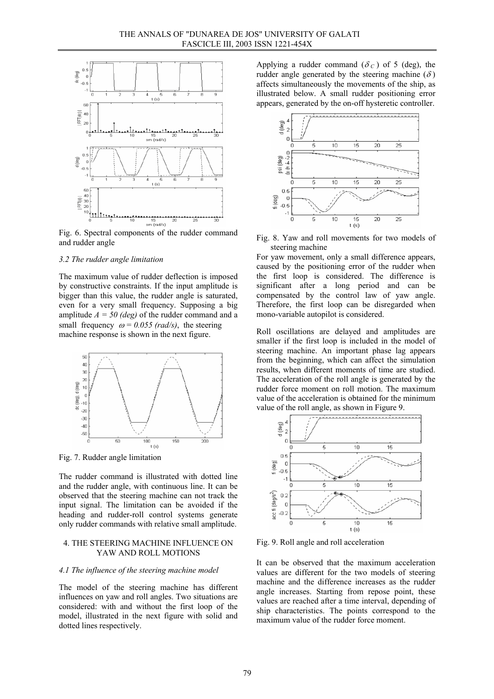

Fig. 6. Spectral components of the rudder command and rudder angle

# *3.2 The rudder angle limitation*

The maximum value of rudder deflection is imposed by constructive constraints. If the input amplitude is bigger than this value, the rudder angle is saturated, even for a very small frequency. Supposing a big amplitude  $A = 50$  (deg) of the rudder command and a small frequency  $\omega = 0.055$  (rad/s), the steering machine response is shown in the next figure.



Fig. 7. Rudder angle limitation

The rudder command is illustrated with dotted line and the rudder angle, with continuous line. It can be observed that the steering machine can not track the input signal. The limitation can be avoided if the heading and rudder-roll control systems generate only rudder commands with relative small amplitude.

# 4. THE STEERING MACHINE INFLUENCE ON YAW AND ROLL MOTIONS

#### *4.1 The influence of the steering machine model*

The model of the steering machine has different influences on yaw and roll angles. Two situations are considered: with and without the first loop of the model, illustrated in the next figure with solid and dotted lines respectively.

Applying a rudder command ( $\delta_c$ ) of 5 (deg), the rudder angle generated by the steering machine  $(\delta)$ affects simultaneously the movements of the ship, as illustrated below. A small rudder positioning error appears, generated by the on-off hysteretic controller.



Fig. 8. Yaw and roll movements for two models of steering machine

For yaw movement, only a small difference appears, caused by the positioning error of the rudder when the first loop is considered. The difference is significant after a long period and can be compensated by the control law of yaw angle. Therefore, the first loop can be disregarded when mono-variable autopilot is considered.

Roll oscillations are delayed and amplitudes are smaller if the first loop is included in the model of steering machine. An important phase lag appears from the beginning, which can affect the simulation results, when different moments of time are studied. The acceleration of the roll angle is generated by the rudder force moment on roll motion. The maximum value of the acceleration is obtained for the minimum value of the roll angle, as shown in Figure 9.



Fig. 9. Roll angle and roll acceleration

It can be observed that the maximum acceleration values are different for the two models of steering machine and the difference increases as the rudder angle increases. Starting from repose point, these values are reached after a time interval, depending of ship characteristics. The points correspond to the maximum value of the rudder force moment.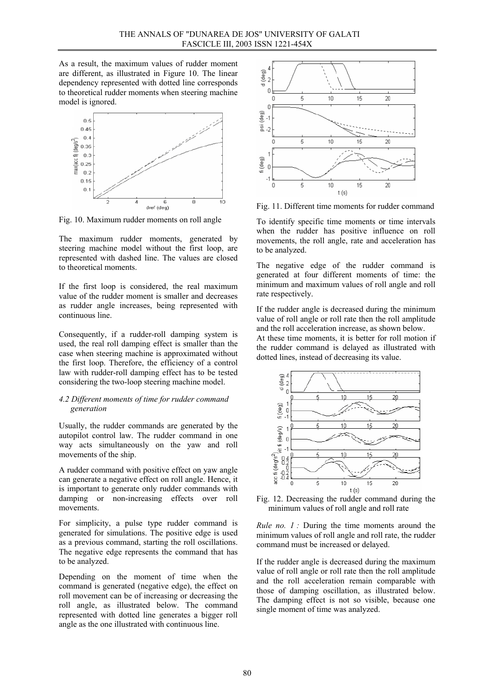As a result, the maximum values of rudder moment are different, as illustrated in Figure 10. The linear dependency represented with dotted line corresponds to theoretical rudder moments when steering machine model is ignored.



Fig. 10. Maximum rudder moments on roll angle

The maximum rudder moments, generated by steering machine model without the first loop, are represented with dashed line. The values are closed to theoretical moments.

If the first loop is considered, the real maximum value of the rudder moment is smaller and decreases as rudder angle increases, being represented with continuous line.

Consequently, if a rudder-roll damping system is used, the real roll damping effect is smaller than the case when steering machine is approximated without the first loop. Therefore, the efficiency of a control law with rudder-roll damping effect has to be tested considering the two-loop steering machine model.

## *4.2 Different moments of time for rudder command generation*

Usually, the rudder commands are generated by the autopilot control law. The rudder command in one way acts simultaneously on the yaw and roll movements of the ship.

A rudder command with positive effect on yaw angle can generate a negative effect on roll angle. Hence, it is important to generate only rudder commands with damping or non-increasing effects over roll movements.

For simplicity, a pulse type rudder command is generated for simulations. The positive edge is used as a previous command, starting the roll oscillations. The negative edge represents the command that has to be analyzed.

Depending on the moment of time when the command is generated (negative edge), the effect on roll movement can be of increasing or decreasing the roll angle, as illustrated below. The command represented with dotted line generates a bigger roll angle as the one illustrated with continuous line.



Fig. 11. Different time moments for rudder command

To identify specific time moments or time intervals when the rudder has positive influence on roll movements, the roll angle, rate and acceleration has to be analyzed.

The negative edge of the rudder command is generated at four different moments of time: the minimum and maximum values of roll angle and roll rate respectively.

If the rudder angle is decreased during the minimum value of roll angle or roll rate then the roll amplitude and the roll acceleration increase, as shown below.

At these time moments, it is better for roll motion if the rudder command is delayed as illustrated with dotted lines, instead of decreasing its value.



Fig. 12. Decreasing the rudder command during the minimum values of roll angle and roll rate

*Rule no. 1 :* During the time moments around the minimum values of roll angle and roll rate, the rudder command must be increased or delayed.

If the rudder angle is decreased during the maximum value of roll angle or roll rate then the roll amplitude and the roll acceleration remain comparable with those of damping oscillation, as illustrated below. The damping effect is not so visible, because one single moment of time was analyzed.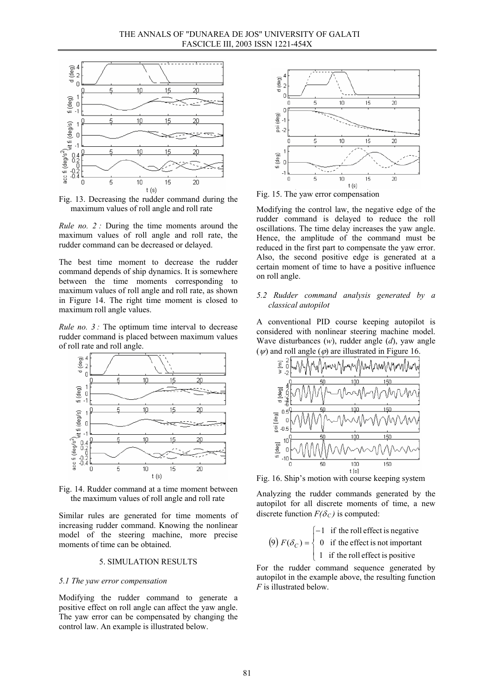

Fig. 13. Decreasing the rudder command during the maximum values of roll angle and roll rate

*Rule no.* 2 *:* During the time moments around the maximum values of roll angle and roll rate, the rudder command can be decreased or delayed.

The best time moment to decrease the rudder command depends of ship dynamics. It is somewhere between the time moments corresponding to maximum values of roll angle and roll rate, as shown in Figure 14. The right time moment is closed to maximum roll angle values.

*Rule no.* 3 *:* The optimum time interval to decrease rudder command is placed between maximum values of roll rate and roll angle.



Fig. 14. Rudder command at a time moment between the maximum values of roll angle and roll rate

Similar rules are generated for time moments of increasing rudder command. Knowing the nonlinear model of the steering machine, more precise moments of time can be obtained.

### 5. SIMULATION RESULTS

#### *5.1 The yaw error compensation*

Modifying the rudder command to generate a positive effect on roll angle can affect the yaw angle. The yaw error can be compensated by changing the control law. An example is illustrated below.



Fig. 15. The yaw error compensation

Modifying the control law, the negative edge of the rudder command is delayed to reduce the roll oscillations. The time delay increases the yaw angle. Hence, the amplitude of the command must be reduced in the first part to compensate the yaw error. Also, the second positive edge is generated at a certain moment of time to have a positive influence on roll angle.

# *5.2 Rudder command analysis generated by a classical autopilot*

A conventional PID course keeping autopilot is considered with nonlinear steering machine model. Wave disturbances (*w*), rudder angle (*d*), yaw angle  $(\psi)$  and roll angle  $(\varphi)$  are illustrated in Figure 16.



Fig. 16. Ship's motion with course keeping system

Analyzing the rudder commands generated by the autopilot for all discrete moments of time, a new discrete function  $F(\delta_C)$  is computed:

(9) 
$$
F(\delta_C) = \begin{cases} -1 & \text{if the roll effect is negative} \\ 0 & \text{if the effect is not important} \\ 1 & \text{if the roll effect is positive} \end{cases}
$$

For the rudder command sequence generated by autopilot in the example above, the resulting function *F* is illustrated below.